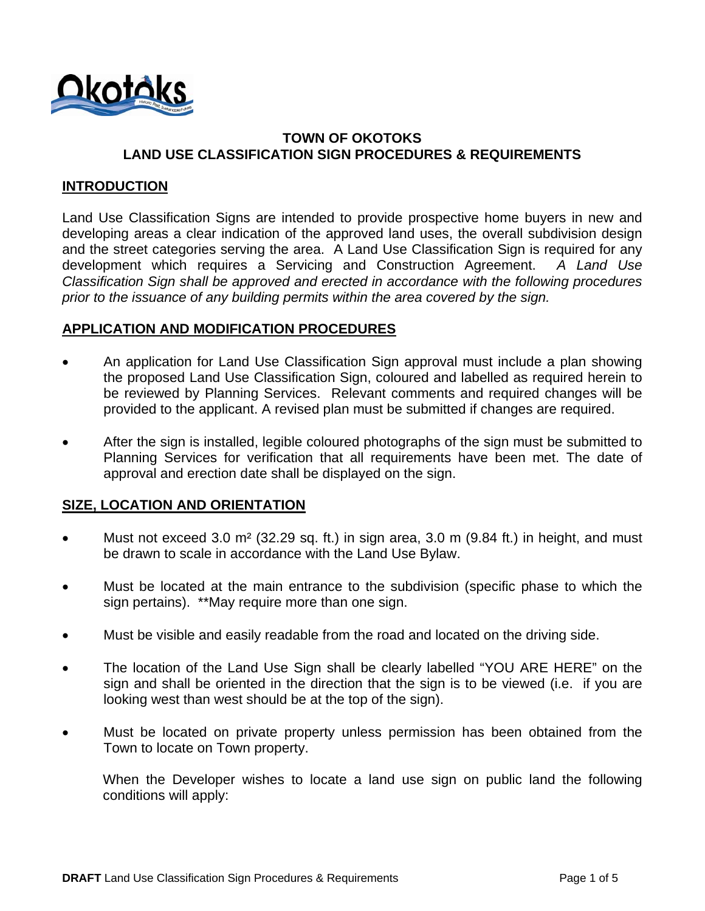

## **TOWN OF OKOTOKS LAND USE CLASSIFICATION SIGN PROCEDURES & REQUIREMENTS**

#### **INTRODUCTION**

Land Use Classification Signs are intended to provide prospective home buyers in new and developing areas a clear indication of the approved land uses, the overall subdivision design and the street categories serving the area. A Land Use Classification Sign is required for any development which requires a Servicing and Construction Agreement. *A Land Use Classification Sign shall be approved and erected in accordance with the following procedures prior to the issuance of any building permits within the area covered by the sign.* 

#### **APPLICATION AND MODIFICATION PROCEDURES**

- An application for Land Use Classification Sign approval must include a plan showing the proposed Land Use Classification Sign, coloured and labelled as required herein to be reviewed by Planning Services. Relevant comments and required changes will be provided to the applicant. A revised plan must be submitted if changes are required.
- After the sign is installed, legible coloured photographs of the sign must be submitted to Planning Services for verification that all requirements have been met. The date of approval and erection date shall be displayed on the sign.

#### **SIZE, LOCATION AND ORIENTATION**

- Must not exceed 3.0 m<sup>2</sup> (32.29 sq. ft.) in sign area, 3.0 m (9.84 ft.) in height, and must be drawn to scale in accordance with the Land Use Bylaw.
- Must be located at the main entrance to the subdivision (specific phase to which the sign pertains). \*\*May require more than one sign.
- Must be visible and easily readable from the road and located on the driving side.
- The location of the Land Use Sign shall be clearly labelled "YOU ARE HERE" on the sign and shall be oriented in the direction that the sign is to be viewed (i.e. if you are looking west than west should be at the top of the sign).
- Must be located on private property unless permission has been obtained from the Town to locate on Town property.

When the Developer wishes to locate a land use sign on public land the following conditions will apply: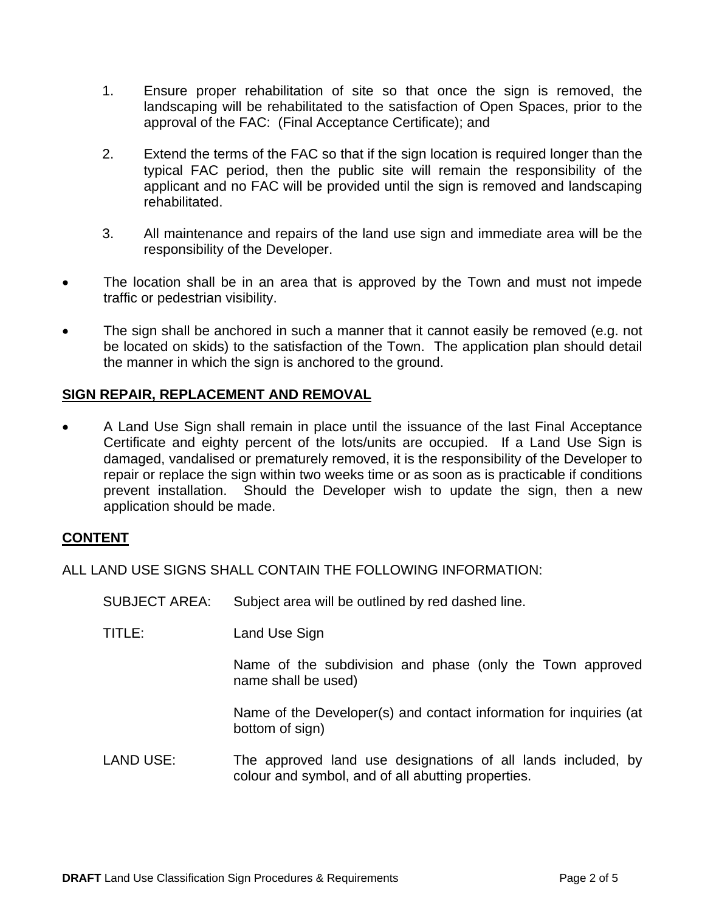- 1. Ensure proper rehabilitation of site so that once the sign is removed, the landscaping will be rehabilitated to the satisfaction of Open Spaces, prior to the approval of the FAC: (Final Acceptance Certificate); and
- 2. Extend the terms of the FAC so that if the sign location is required longer than the typical FAC period, then the public site will remain the responsibility of the applicant and no FAC will be provided until the sign is removed and landscaping rehabilitated.
- 3. All maintenance and repairs of the land use sign and immediate area will be the responsibility of the Developer.
- The location shall be in an area that is approved by the Town and must not impede traffic or pedestrian visibility.
- The sign shall be anchored in such a manner that it cannot easily be removed (e.g. not be located on skids) to the satisfaction of the Town. The application plan should detail the manner in which the sign is anchored to the ground.

## **SIGN REPAIR, REPLACEMENT AND REMOVAL**

• A Land Use Sign shall remain in place until the issuance of the last Final Acceptance Certificate and eighty percent of the lots/units are occupied. If a Land Use Sign is damaged, vandalised or prematurely removed, it is the responsibility of the Developer to repair or replace the sign within two weeks time or as soon as is practicable if conditions prevent installation. Should the Developer wish to update the sign, then a new application should be made.

## **CONTENT**

ALL LAND USE SIGNS SHALL CONTAIN THE FOLLOWING INFORMATION:

SUBJECT AREA: Subject area will be outlined by red dashed line.

TITLE: Land Use Sign

Name of the subdivision and phase (only the Town approved name shall be used)

Name of the Developer(s) and contact information for inquiries (at bottom of sign)

LAND USE: The approved land use designations of all lands included, by colour and symbol, and of all abutting properties.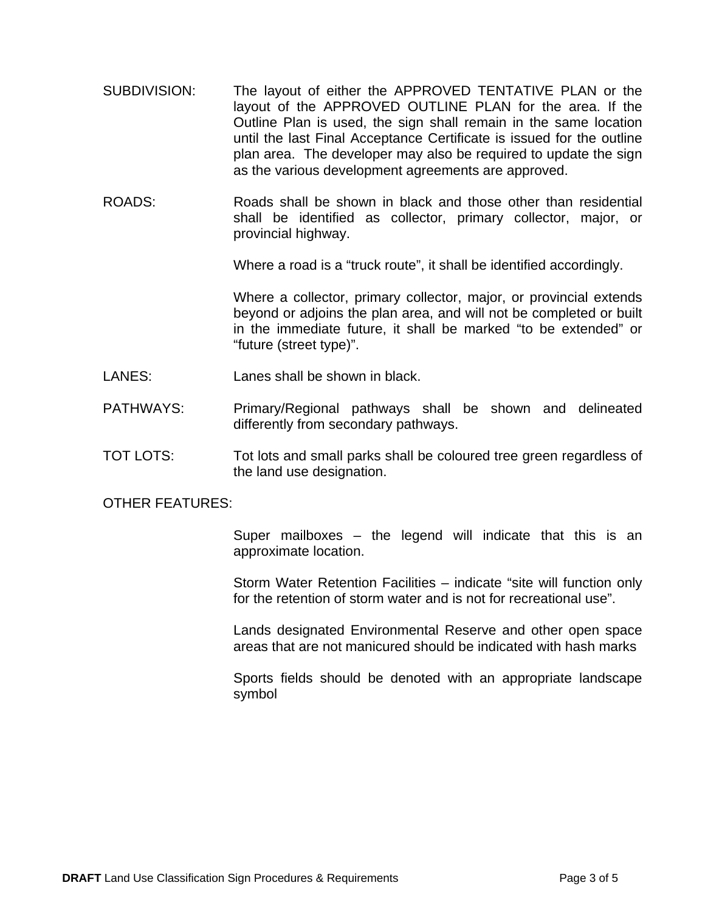- SUBDIVISION: The layout of either the APPROVED TENTATIVE PLAN or the layout of the APPROVED OUTLINE PLAN for the area. If the Outline Plan is used, the sign shall remain in the same location until the last Final Acceptance Certificate is issued for the outline plan area. The developer may also be required to update the sign as the various development agreements are approved.
- ROADS: Roads shall be shown in black and those other than residential shall be identified as collector, primary collector, major, or provincial highway.

Where a road is a "truck route", it shall be identified accordingly.

Where a collector, primary collector, major, or provincial extends beyond or adjoins the plan area, and will not be completed or built in the immediate future, it shall be marked "to be extended" or "future (street type)".

- LANES: Lanes shall be shown in black.
- PATHWAYS: Primary/Regional pathways shall be shown and delineated differently from secondary pathways.
- TOT LOTS: Tot lots and small parks shall be coloured tree green regardless of the land use designation.

OTHER FEATURES:

Super mailboxes – the legend will indicate that this is an approximate location.

Storm Water Retention Facilities – indicate "site will function only for the retention of storm water and is not for recreational use".

Lands designated Environmental Reserve and other open space areas that are not manicured should be indicated with hash marks

Sports fields should be denoted with an appropriate landscape symbol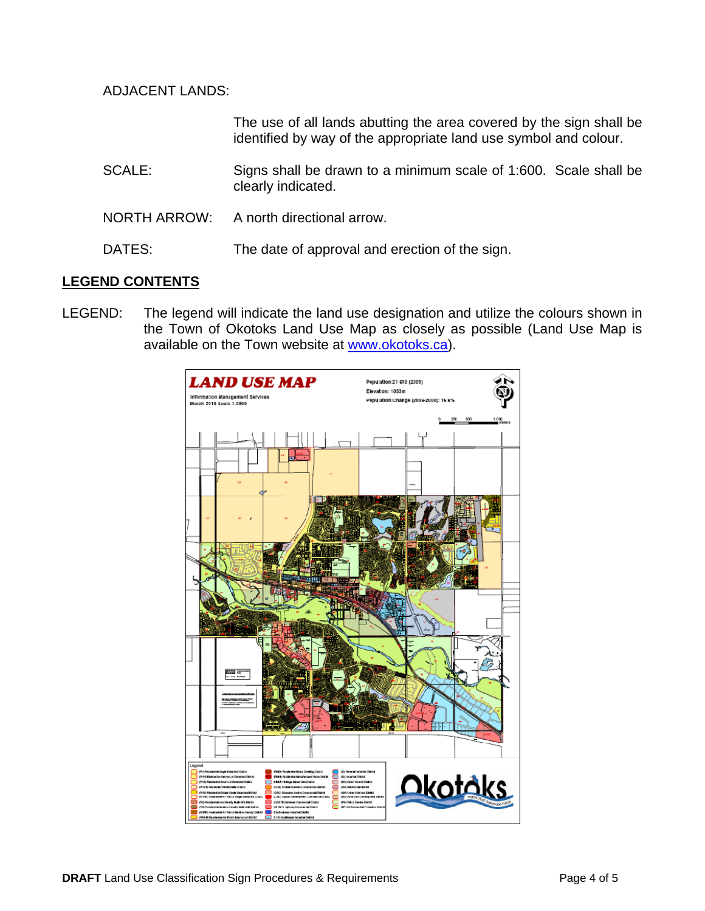## ADJACENT LANDS:

The use of all lands abutting the area covered by the sign shall be identified by way of the appropriate land use symbol and colour.

- SCALE: Signs shall be drawn to a minimum scale of 1:600. Scale shall be clearly indicated.
- NORTH ARROW: A north directional arrow.
- DATES: The date of approval and erection of the sign.

#### **LEGEND CONTENTS**

LEGEND: The legend will indicate the land use designation and utilize the colours shown in the Town of Okotoks Land Use Map as closely as possible (Land Use Map is available on the Town website at www.okotoks.ca).